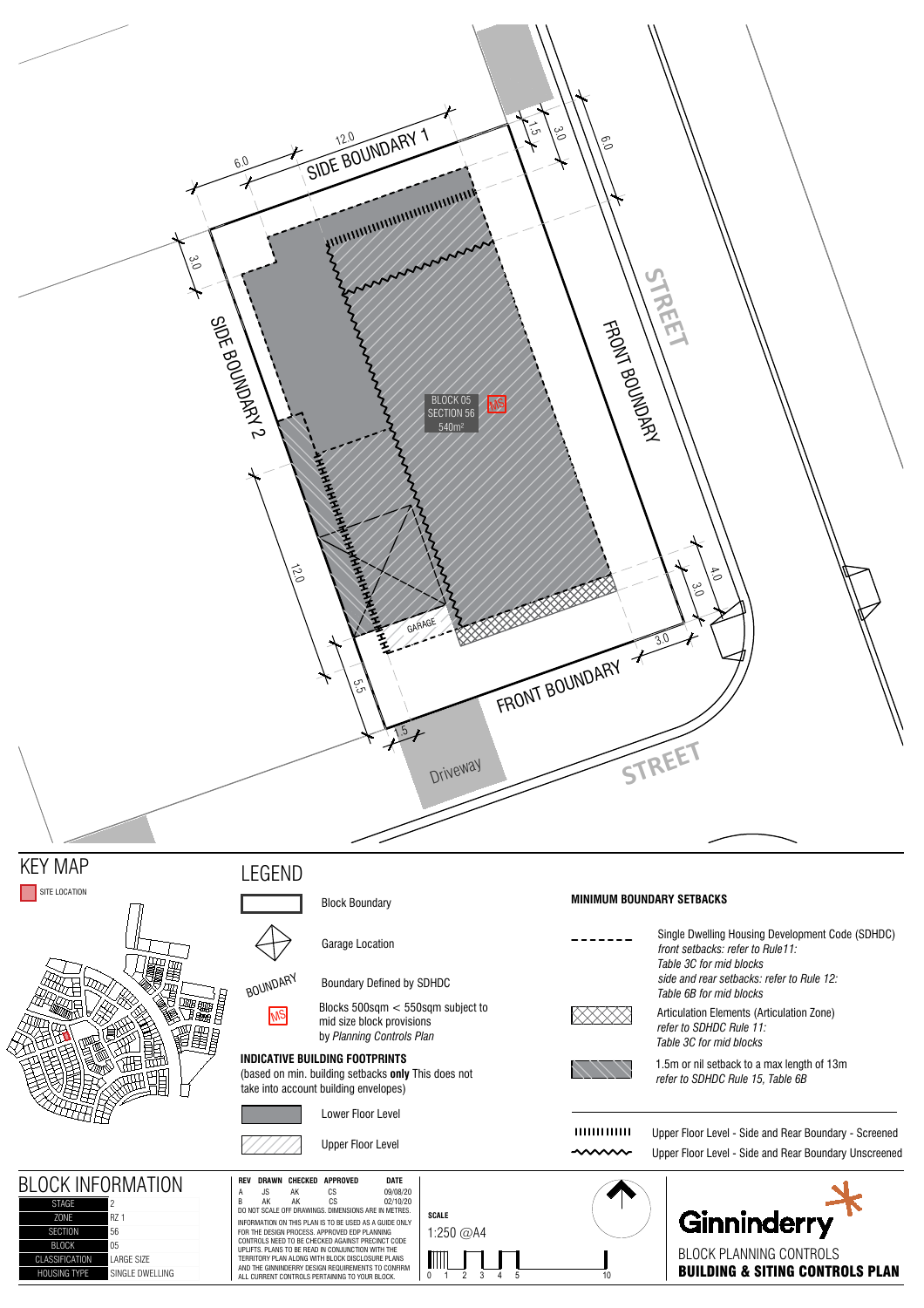